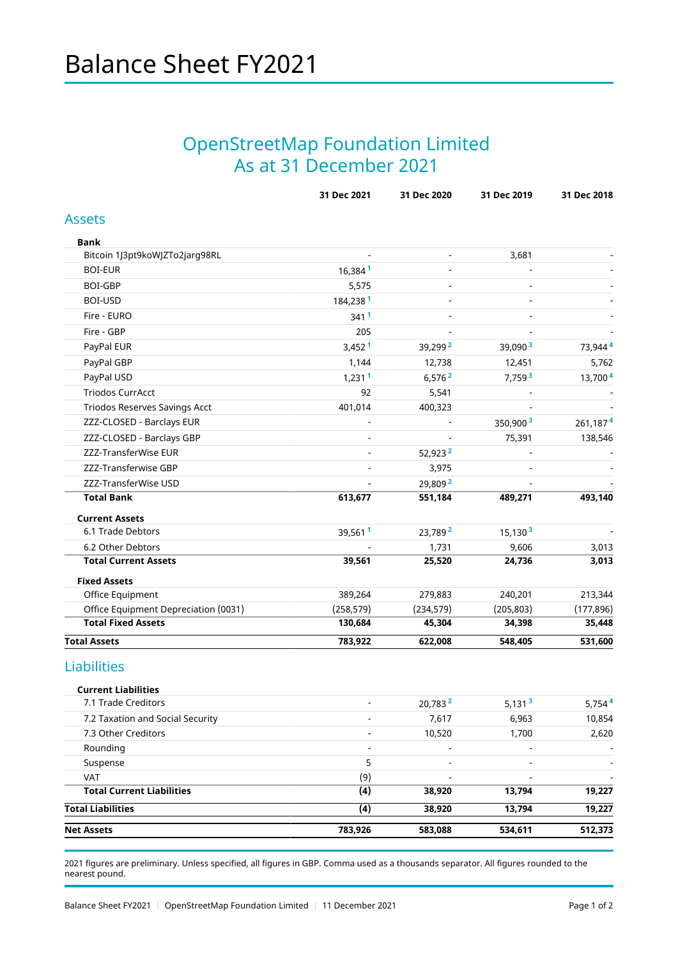# OpenStreetMap Foundation Limited As at 31 December 2021

|                                      | 31 Dec 2021          | 31 Dec 2020              | 31 Dec 2019          | 31 Dec 2018         |
|--------------------------------------|----------------------|--------------------------|----------------------|---------------------|
| <b>Assets</b>                        |                      |                          |                      |                     |
| <b>Bank</b>                          |                      |                          |                      |                     |
| Bitcoin 1J3pt9koWJZTo2jarg98RL       |                      | $\overline{\phantom{a}}$ | 3,681                |                     |
| <b>BOI-EUR</b>                       | 16,3841              |                          |                      |                     |
| <b>BOI-GBP</b>                       | 5,575                |                          |                      |                     |
| BOI-USD                              | 184,238 <sup>1</sup> |                          |                      |                     |
| Fire - EURO                          | 3411                 |                          |                      |                     |
| Fire - GBP                           | 205                  |                          |                      |                     |
| PayPal EUR                           | 3,452 <sup>1</sup>   | 39,2992                  | 39,090 <sup>3</sup>  | 73,944 <sup>4</sup> |
| PayPal GBP                           | 1,144                | 12,738                   | 12,451               | 5,762               |
| PayPal USD                           | 1,231 <sup>1</sup>   | 6,576 <sup>2</sup>       | 7,759 <sup>3</sup>   | 13,700 4            |
| <b>Triodos CurrAcct</b>              | 92                   | 5,541                    |                      |                     |
| Triodos Reserves Savings Acct        | 401,014              | 400,323                  |                      |                     |
| ZZZ-CLOSED - Barclays EUR            | $\overline{a}$       |                          | 350,900 <sup>3</sup> | 261,1874            |
| ZZZ-CLOSED - Barclays GBP            |                      |                          | 75,391               | 138,546             |
| ZZZ-TransferWise EUR                 |                      | 52,923 <sup>2</sup>      |                      |                     |
| ZZZ-Transferwise GBP                 |                      | 3,975                    |                      |                     |
| ZZZ-TransferWise USD                 |                      | 29,8092                  |                      |                     |
| <b>Total Bank</b>                    | 613,677              | 551,184                  | 489,271              | 493,140             |
| <b>Current Assets</b>                |                      |                          |                      |                     |
| 6.1 Trade Debtors                    | 39,5611              | 23,789 <sup>2</sup>      | 15,130 <sup>3</sup>  |                     |
| 6.2 Other Debtors                    |                      | 1,731                    | 9,606                | 3,013               |
| <b>Total Current Assets</b>          | 39,561               | 25,520                   | 24,736               | 3,013               |
| <b>Fixed Assets</b>                  |                      |                          |                      |                     |
| Office Equipment                     | 389,264              | 279,883                  | 240,201              | 213,344             |
| Office Equipment Depreciation (0031) | (258, 579)           | (234, 579)               | (205, 803)           | (177, 896)          |
| <b>Total Fixed Assets</b>            | 130,684              | 45,304                   | 34,398               | 35,448              |
| <b>Total Assets</b>                  | 783,922              | 622,008                  | 548,405              | 531,600             |

# **Current Liabilities**

| <b>Net Assets</b>                | 783,926                  | 583,088                  | 534,611                  | 512,373                  |
|----------------------------------|--------------------------|--------------------------|--------------------------|--------------------------|
| <b>Total Liabilities</b>         | (4)                      | 38,920                   | 13,794                   | 19,227                   |
| <b>Total Current Liabilities</b> | (4)                      | 38,920                   | 13.794                   | 19.227                   |
| <b>VAT</b>                       | (9)                      | $\overline{\phantom{0}}$ | $\overline{\phantom{0}}$ |                          |
| Suspense                         | 5                        | $\overline{\phantom{a}}$ | $\overline{\phantom{a}}$ | -                        |
| Rounding                         | $\overline{\phantom{a}}$ | $\overline{\phantom{a}}$ | $\overline{\phantom{a}}$ | $\overline{\phantom{a}}$ |
| 7.3 Other Creditors              | $\overline{\phantom{a}}$ | 10,520                   | 1,700                    | 2,620                    |
| 7.2 Taxation and Social Security | $\overline{\phantom{0}}$ | 7,617                    | 6,963                    | 10,854                   |
| 7.1 Trade Creditors              | $\overline{\phantom{0}}$ | 20,783 <sup>2</sup>      | 5,131 <sup>3</sup>       | $5,754$ <sup>4</sup>     |
|                                  |                          |                          |                          |                          |

2021 figures are preliminary. Unless specified, all figures in GBP. Comma used as a thousands separator. All figures rounded to the nearest pound.